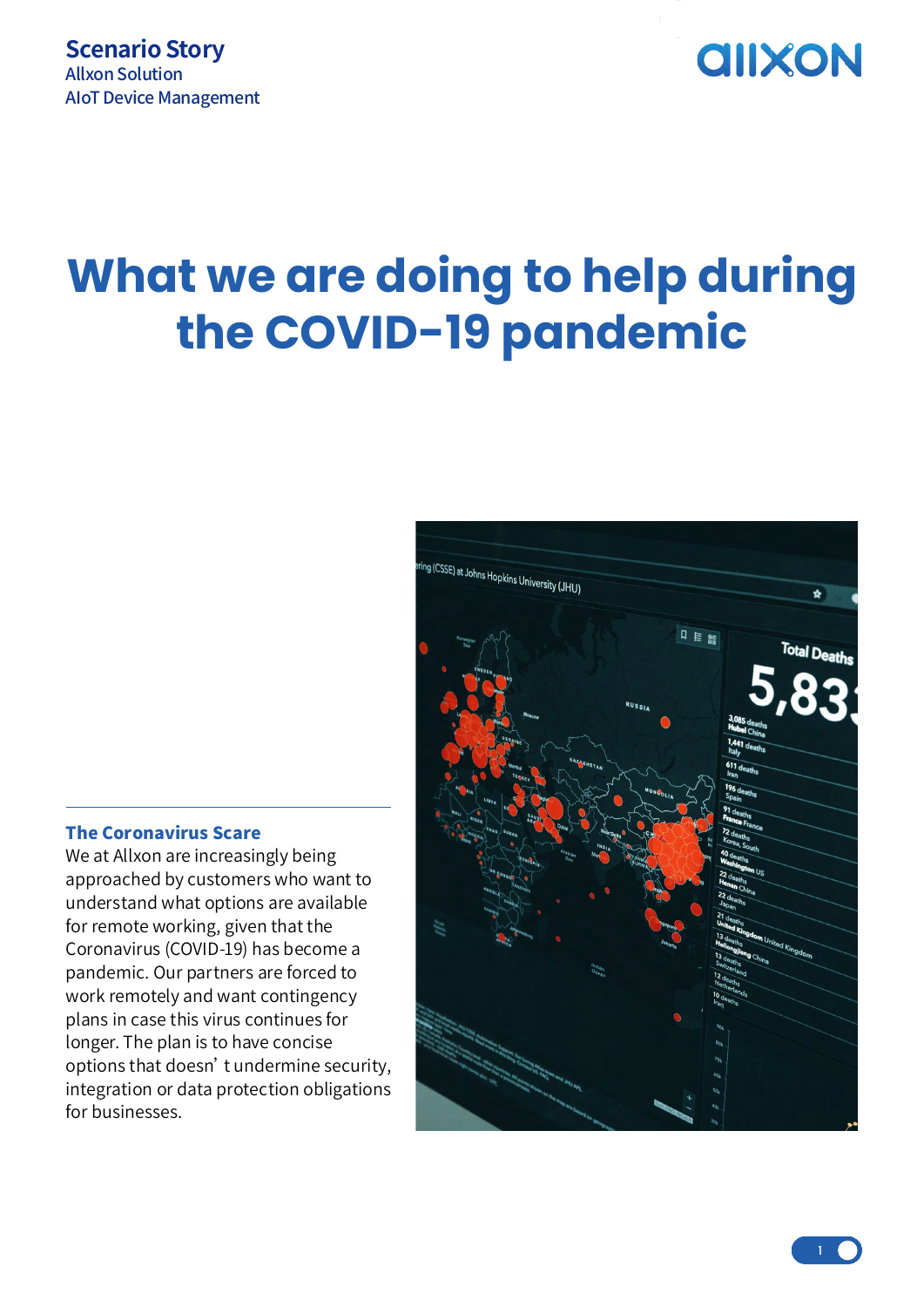## **AIIXON**

# **What we are doing to help during the COVID-19 pandemic**

# ing (CSSE) at Johns Hopkins University (JHU) ó 口 信 <br>即 **Total Death**

#### The Coronavirus Scare

We at Allxon are increasingly being approached by customers who want to understand what options are available for remote working, given that the Coronavirus (COVID-19) has become a pandemic. Our partners are forced to work remotely and want contingency plans in case this virus continues for longer. The plan is to have concise options that doesn't undermine security, integration or data protection obligations for businesses.

 $\frac{1}{1}$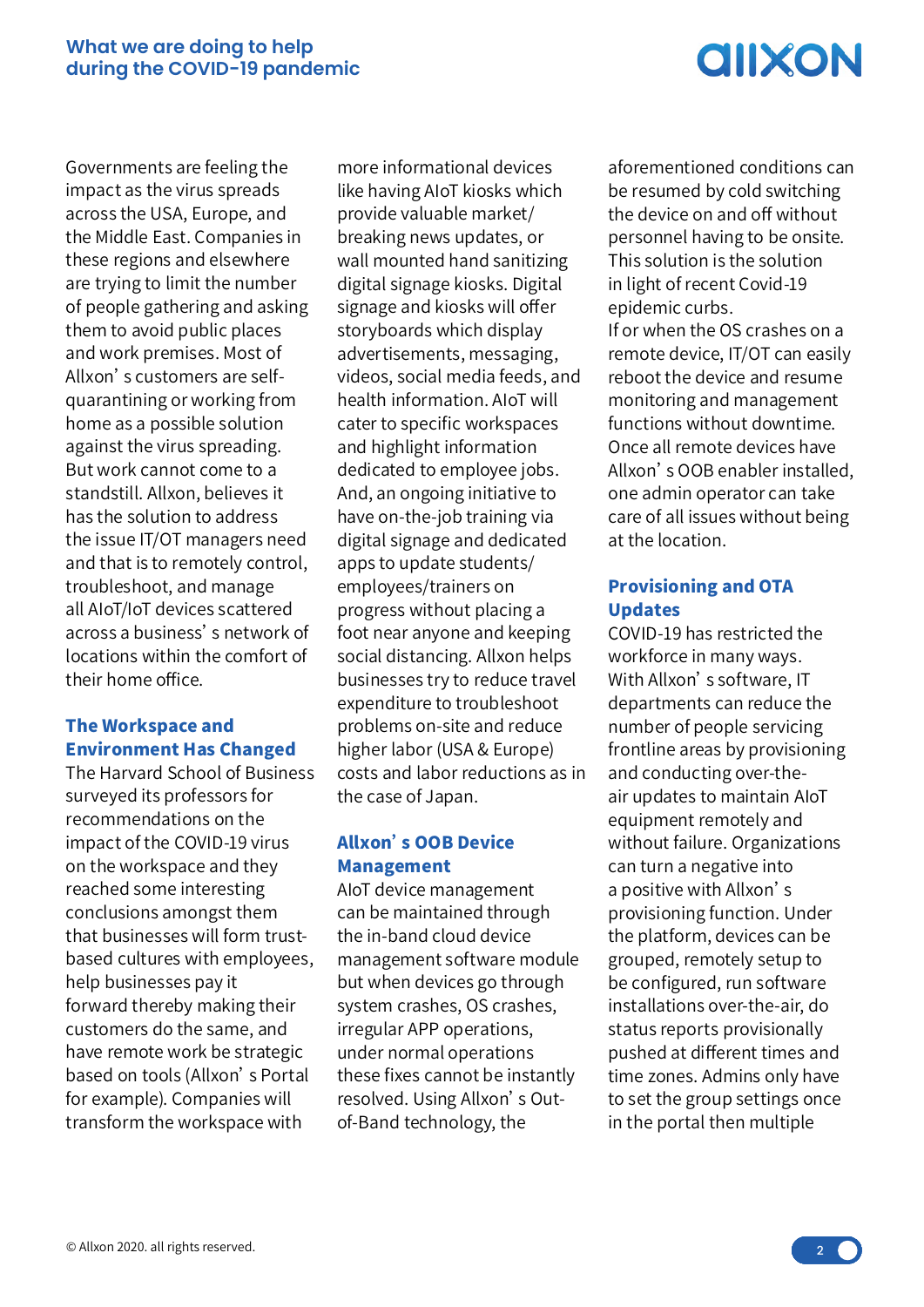# **AIIXON**

Governments are feeling the impact as the virus spreads across the USA, Europe, and the Middle East. Companies in these regions and elsewhere are trying to limit the number of people gathering and asking them to avoid public places and work premises. Most of Allxon's customers are selfquarantining or working from home as a possible solution against the virus spreading. But work cannot come to a standstill. Allxon, believes it has the solution to address the issue IT/OT managers need and that is to remotely control, troubleshoot, and manage all AIoT/IoT devices scattered across a business's network of locations within the comfort of their home office.

## The Workspace and Environment Has Changed

The Harvard School of Business surveyed its professors for recommendations on the impact of the COVID-19 virus on the workspace and they reached some interesting conclusions amongst them that businesses will form trustbased cultures with employees, help businesses pay it forward thereby making their customers do the same, and have remote work be strategic based on tools (Allxon's Portal for example). Companies will transform the workspace with

more informational devices like having AIoT kiosks which provide valuable market/ breaking news updates, or wall mounted hand sanitizing digital signage kiosks. Digital signage and kiosks will offer storyboards which display advertisements, messaging, videos, social media feeds, and health information. AIoT will cater to specific workspaces and highlight information dedicated to employee jobs. And, an ongoing initiative to have on-the-job training via digital signage and dedicated apps to update students/ employees/trainers on progress without placing a foot near anyone and keeping social distancing. Allxon helps businesses try to reduce travel expenditure to troubleshoot problems on-site and reduce higher labor (USA & Europe) costs and labor reductions as in the case of Japan.

## Allxon's OOB Device Management

AIoT device management can be maintained through the in-band cloud device management software module but when devices go through system crashes, OS crashes, irregular APP operations, under normal operations these fixes cannot be instantly resolved. Using Allxon's Outof-Band technology, the

aforementioned conditions can be resumed by cold switching the device on and off without personnel having to be onsite. This solution is the solution in light of recent Covid-19 epidemic curbs. If or when the OS crashes on a remote device, IT/OT can easily reboot the device and resume monitoring and management functions without downtime. Once all remote devices have Allxon's OOB enabler installed, one admin operator can take care of all issues without being at the location.

## Provisioning and OTA Updates

COVID-19 has restricted the workforce in many ways. With Allxon's software, IT departments can reduce the number of people servicing frontline areas by provisioning and conducting over-theair updates to maintain AIoT equipment remotely and without failure. Organizations can turn a negative into a positive with Allxon's provisioning function. Under the platform, devices can be grouped, remotely setup to be configured, run software installations over-the-air, do status reports provisionally pushed at different times and time zones. Admins only have to set the group settings once in the portal then multiple